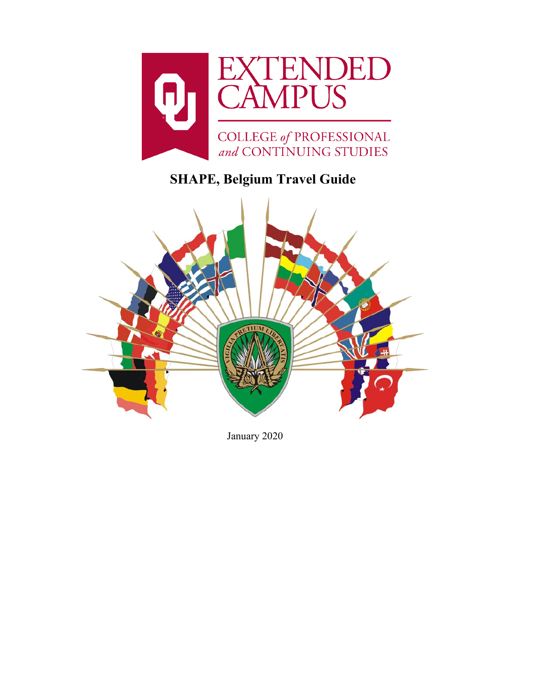

# **SHAPE, Belgium Travel Guide**



January 2020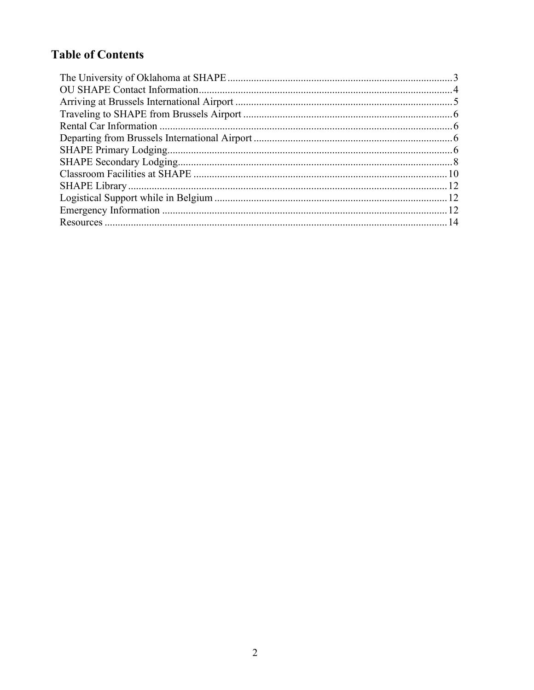# **Table of Contents**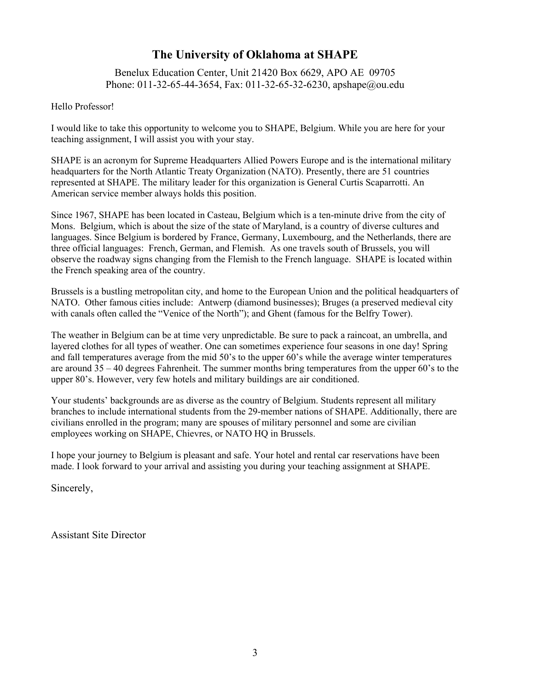# **The University of Oklahoma at SHAPE**

Benelux Education Center, Unit 21420 Box 6629, APO AE 09705 Phone: 011-32-65-44-3654, Fax: 011-32-65-32-6230, [apshape@ou.edu](mailto:apshape@ou.edu)

#### <span id="page-2-0"></span>Hello Professor!

I would like to take this opportunity to welcome you to SHAPE, Belgium. While you are here for your teaching assignment, I will assist you with your stay.

SHAPE is an acronym for Supreme Headquarters Allied Powers Europe and is the international military headquarters for the North Atlantic Treaty Organization (NATO). Presently, there are 51 countries represented at SHAPE. The military leader for this organization is General Curtis Scaparrotti. An American service member always holds this position.

Since 1967, SHAPE has been located in Casteau, Belgium which is a ten-minute drive from the city of Mons. Belgium, which is about the size of the state of Maryland, is a country of diverse cultures and languages. Since Belgium is bordered by France, Germany, Luxembourg, and the Netherlands, there are three official languages: French, German, and Flemish. As one travels south of Brussels, you will observe the roadway signs changing from the Flemish to the French language. SHAPE is located within the French speaking area of the country.

Brussels is a bustling metropolitan city, and home to the European Union and the political headquarters of NATO. Other famous cities include: Antwerp (diamond businesses); Bruges (a preserved medieval city with canals often called the "Venice of the North"); and Ghent (famous for the Belfry Tower).

The weather in Belgium can be at time very unpredictable. Be sure to pack a raincoat, an umbrella, and layered clothes for all types of weather. One can sometimes experience four seasons in one day! Spring and fall temperatures average from the mid 50's to the upper 60's while the average winter temperatures are around 35 – 40 degrees Fahrenheit. The summer months bring temperatures from the upper 60's to the upper 80's. However, very few hotels and military buildings are air conditioned.

Your students' backgrounds are as diverse as the country of Belgium. Students represent all military branches to include international students from the 29-member nations of SHAPE. Additionally, there are civilians enrolled in the program; many are spouses of military personnel and some are civilian employees working on SHAPE, Chievres, or NATO HQ in Brussels.

I hope your journey to Belgium is pleasant and safe. Your hotel and rental car reservations have been made. I look forward to your arrival and assisting you during your teaching assignment at SHAPE.

Sincerely,

Assistant Site Director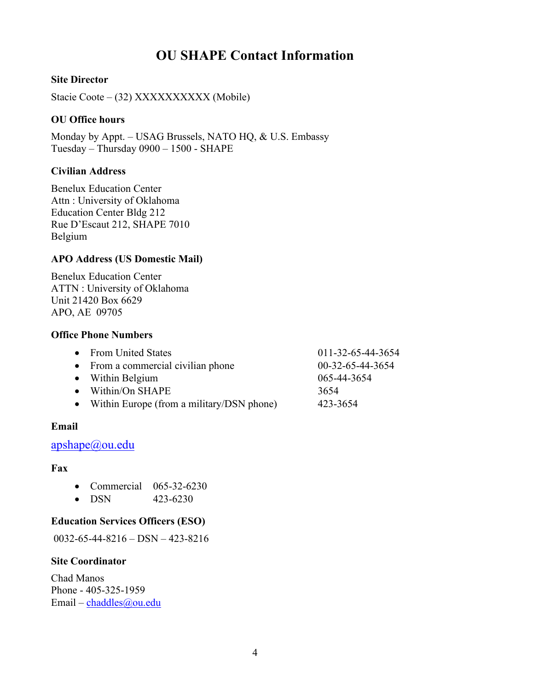# **OU SHAPE Contact Information**

#### <span id="page-3-0"></span>**Site Director**

Stacie Coote – (32) XXXXXXXXXX (Mobile)

#### **OU Office hours**

Monday by Appt. – USAG Brussels, NATO HQ, & U.S. Embassy Tuesday – Thursday 0900 – 1500 - SHAPE

#### **Civilian Address**

Benelux Education Center Attn : University of Oklahoma Education Center Bldg 212 Rue D'Escaut 212, SHAPE 7010 Belgium

#### **APO Address (US Domestic Mail)**

Benelux Education Center ATTN : University of Oklahoma Unit 21420 Box 6629 APO, AE 09705

#### **Office Phone Numbers**

| • From United States                        | 011-32-65-44-3654 |
|---------------------------------------------|-------------------|
| • From a commercial civilian phone          | 00-32-65-44-3654  |
| • Within Belgium                            | 065-44-3654       |
| $\bullet$ Within/On SHAPE                   | 3654              |
| • Within Europe (from a military/DSN phone) | 423-3654          |

#### **Email**

#### [apshape@ou.edu](mailto:apshape@ou.edu)

#### **Fax**

- Commercial 065-32-6230
- DSN 423-6230

#### **Education Services Officers (ESO)**

0032-65-44-8216 – DSN – 423-8216

#### **Site Coordinator**

Chad Manos Phone - 405-325-1959 Email – [chaddles@ou.edu](mailto:chaddles@ou.edu)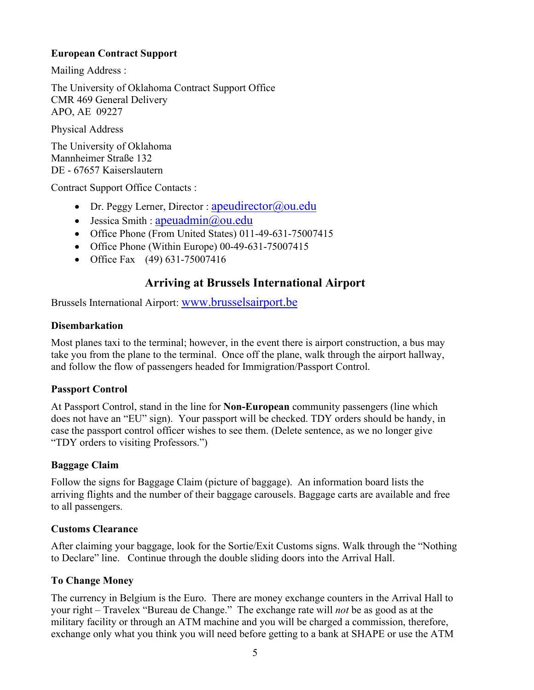#### **European Contract Support**

Mailing Address :

The University of Oklahoma Contract Support Office CMR 469 General Delivery APO, AE 09227

Physical Address

The University of Oklahoma Mannheimer Straße 132 DE - 67657 Kaiserslautern

Contract Support Office Contacts :

- Dr. Peggy Lerner, Director : apeudirector  $\omega$  ou.edu
- Jessica Smith : apeuadmin $\omega$ ou.edu
- Office Phone (From United States) 011-49-631-75007415
- Office Phone (Within Europe) 00-49-631-75007415
- <span id="page-4-0"></span>• Office Fax (49) 631-75007416

### **Arriving at Brussels International Airport**

Brussels International Airport: [www.brusselsairport.be](http://www.brusselsairport.be/)

#### **Disembarkation**

Most planes taxi to the terminal; however, in the event there is airport construction, a bus may take you from the plane to the terminal. Once off the plane, walk through the airport hallway, and follow the flow of passengers headed for Immigration/Passport Control.

#### **Passport Control**

At Passport Control, stand in the line for **Non-European** community passengers (line which does not have an "EU" sign). Your passport will be checked. TDY orders should be handy, in case the passport control officer wishes to see them. (Delete sentence, as we no longer give "TDY orders to visiting Professors.")

#### **Baggage Claim**

Follow the signs for Baggage Claim (picture of baggage). An information board lists the arriving flights and the number of their baggage carousels. Baggage carts are available and free to all passengers.

#### **Customs Clearance**

After claiming your baggage, look for the Sortie/Exit Customs signs. Walk through the "Nothing to Declare" line. Continue through the double sliding doors into the Arrival Hall.

#### **To Change Money**

The currency in Belgium is the Euro. There are money exchange counters in the Arrival Hall to your right – Travelex "Bureau de Change." The exchange rate will *not* be as good as at the military facility or through an ATM machine and you will be charged a commission, therefore, exchange only what you think you will need before getting to a bank at SHAPE or use the ATM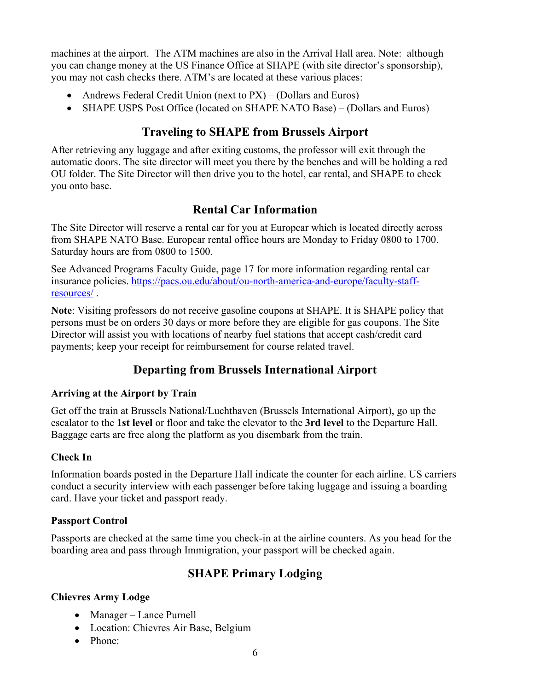machines at the airport. The ATM machines are also in the Arrival Hall area. Note: although you can change money at the US Finance Office at SHAPE (with site director's sponsorship), you may not cash checks there. ATM's are located at these various places:

- Andrews Federal Credit Union (next to PX) (Dollars and Euros)
- <span id="page-5-0"></span>• SHAPE USPS Post Office (located on SHAPE NATO Base) – (Dollars and Euros)

# **Traveling to SHAPE from Brussels Airport**

After retrieving any luggage and after exiting customs, the professor will exit through the automatic doors. The site director will meet you there by the benches and will be holding a red OU folder. The Site Director will then drive you to the hotel, car rental, and SHAPE to check you onto base.

# **Rental Car Information**

<span id="page-5-1"></span>The Site Director will reserve a rental car for you at Europcar which is located directly across from SHAPE NATO Base. Europcar rental office hours are Monday to Friday 0800 to 1700. Saturday hours are from 0800 to 1500.

See Advanced Programs Faculty Guide, page 17 for more information regarding rental car insurance policies. [https://pacs.ou.edu/about/ou-north-america-and-europe/faculty-staff](https://pacs.ou.edu/about/ou-north-america-and-europe/faculty-staff-resources/)[resources/](https://pacs.ou.edu/about/ou-north-america-and-europe/faculty-staff-resources/) .

**Note**: Visiting professors do not receive gasoline coupons at SHAPE. It is SHAPE policy that persons must be on orders 30 days or more before they are eligible for gas coupons. The Site Director will assist you with locations of nearby fuel stations that accept cash/credit card payments; keep your receipt for reimbursement for course related travel.

# **Departing from Brussels International Airport**

### <span id="page-5-2"></span>**Arriving at the Airport by Train**

Get off the train at Brussels National/Luchthaven (Brussels International Airport), go up the escalator to the **1st level** or floor and take the elevator to the **3rd level** to the Departure Hall. Baggage carts are free along the platform as you disembark from the train.

### **Check In**

Information boards posted in the Departure Hall indicate the counter for each airline. US carriers conduct a security interview with each passenger before taking luggage and issuing a boarding card. Have your ticket and passport ready.

#### **Passport Control**

<span id="page-5-3"></span>Passports are checked at the same time you check-in at the airline counters. As you head for the boarding area and pass through Immigration, your passport will be checked again.

# **SHAPE Primary Lodging**

### **Chievres Army Lodge**

- Manager Lance Purnell
- Location: Chievres Air Base, Belgium
- Phone: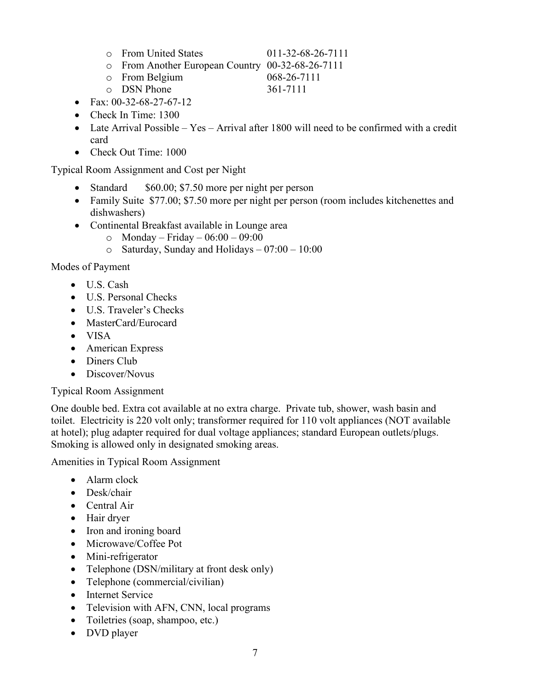- o From United States 011-32-68-26-7111
- o From Another European Country 00-32-68-26-7111
- 
- o From Belgium 068-26-71<br>
o DSN Phone 361-7111  $\circ$  DSN Phone
- Fax:  $00-32-68-27-67-12$
- Check In Time: 1300
- Late Arrival Possible Yes Arrival after 1800 will need to be confirmed with a credit card
- Check Out Time: 1000

Typical Room Assignment and Cost per Night

- Standard \$60.00; \$7.50 more per night per person
- Family Suite \$77.00; \$7.50 more per night per person (room includes kitchenettes and dishwashers)
- Continental Breakfast available in Lounge area
	- $\circ$  Monday Friday 06:00 09:00
	- $\circ$  Saturday, Sunday and Holidays 07:00 10:00

#### Modes of Payment

- U.S. Cash
- U.S. Personal Checks
- U.S. Traveler's Checks
- MasterCard/Eurocard
- VISA
- American Express
- Diners Club
- Discover/Novus

#### Typical Room Assignment

One double bed. Extra cot available at no extra charge. Private tub, shower, wash basin and toilet. Electricity is 220 volt only; transformer required for 110 volt appliances (NOT available at hotel); plug adapter required for dual voltage appliances; standard European outlets/plugs. Smoking is allowed only in designated smoking areas.

Amenities in Typical Room Assignment

- Alarm clock
- Desk/chair
- Central Air
- Hair dryer
- Iron and ironing board
- Microwave/Coffee Pot
- Mini-refrigerator
- Telephone (DSN/military at front desk only)
- Telephone (commercial/civilian)
- Internet Service
- Television with AFN, CNN, local programs
- Toiletries (soap, shampoo, etc.)
- DVD player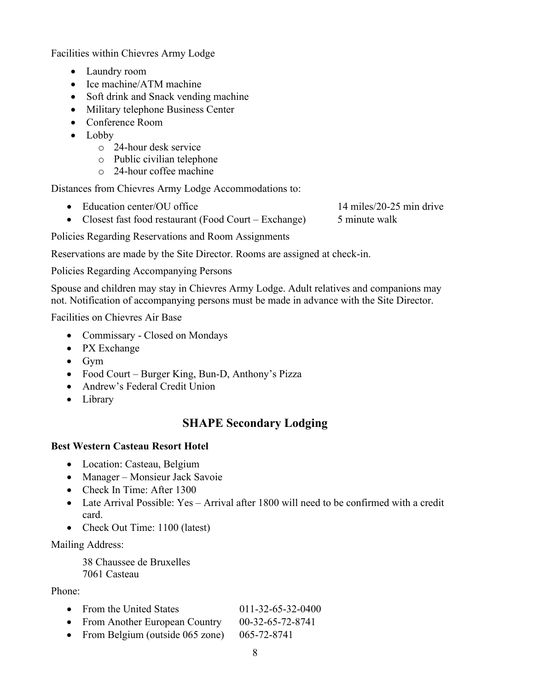Facilities within Chievres Army Lodge

- Laundry room
- Ice machine/ATM machine
- Soft drink and Snack vending machine
- Military telephone Business Center
- Conference Room
- Lobby
	- o 24-hour desk service
	- o Public civilian telephone
	- o 24-hour coffee machine

Distances from Chievres Army Lodge Accommodations to:

• Education center/OU office 14 miles/20-25 min drive

• Closest fast food restaurant (Food Court – Exchange) 5 minute walk

Policies Regarding Reservations and Room Assignments

Reservations are made by the Site Director. Rooms are assigned at check-in.

Policies Regarding Accompanying Persons

Spouse and children may stay in Chievres Army Lodge. Adult relatives and companions may not. Notification of accompanying persons must be made in advance with the Site Director.

Facilities on Chievres Air Base

- Commissary Closed on Mondays
- PX Exchange
- Gym
- Food Court Burger King, Bun-D, Anthony's Pizza
- Andrew's Federal Credit Union
- <span id="page-7-0"></span>• Library

# **SHAPE Secondary Lodging**

#### **Best Western Casteau Resort Hotel**

- Location: Casteau, Belgium
- Manager Monsieur Jack Savoie
- Check In Time: After 1300
- Late Arrival Possible: Yes Arrival after 1800 will need to be confirmed with a credit card.
- Check Out Time: 1100 (latest)

Mailing Address:

38 Chaussee de Bruxelles 7061 Casteau

#### Phone:

- From the United States 011-32-65-32-0400
- From Another European Country 00-32-65-72-8741
- From Belgium (outside 065 zone) 065-72-8741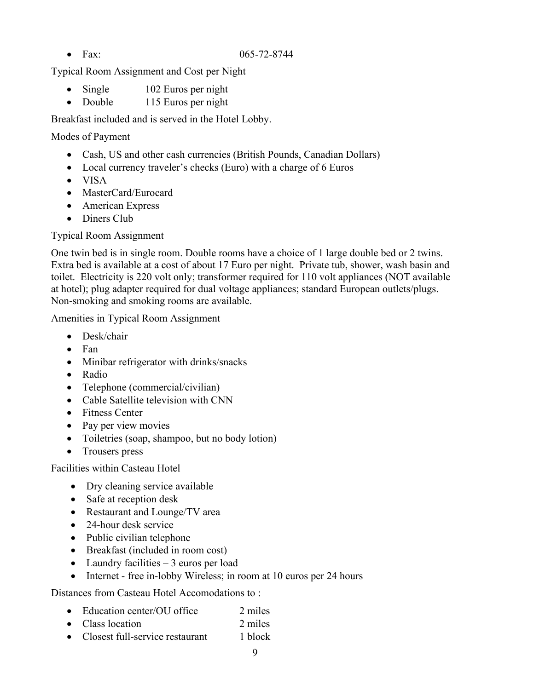Typical Room Assignment and Cost per Night

- Single 102 Euros per night
- Double 115 Euros per night

Breakfast included and is served in the Hotel Lobby.

Modes of Payment

- Cash, US and other cash currencies (British Pounds, Canadian Dollars)
- Local currency traveler's checks (Euro) with a charge of 6 Euros
- VISA
- MasterCard/Eurocard
- American Express
- Diners Club

Typical Room Assignment

One twin bed is in single room. Double rooms have a choice of 1 large double bed or 2 twins. Extra bed is available at a cost of about 17 Euro per night. Private tub, shower, wash basin and toilet. Electricity is 220 volt only; transformer required for 110 volt appliances (NOT available at hotel); plug adapter required for dual voltage appliances; standard European outlets/plugs. Non-smoking and smoking rooms are available.

Amenities in Typical Room Assignment

- Desk/chair
- Fan
- Minibar refrigerator with drinks/snacks
- Radio
- Telephone (commercial/civilian)
- Cable Satellite television with CNN
- Fitness Center
- Pay per view movies
- Toiletries (soap, shampoo, but no body lotion)
- Trousers press

Facilities within Casteau Hotel

- Dry cleaning service available
- Safe at reception desk
- Restaurant and Lounge/TV area
- 24-hour desk service
- Public civilian telephone
- Breakfast (included in room cost)
- Laundry facilities  $-3$  euros per load
- Internet free in-lobby Wireless; in room at 10 euros per 24 hours

Distances from Casteau Hotel Accomodations to :

- Education center/OU office 2 miles
- Class location 2 miles
- Closest full-service restaurant 1 block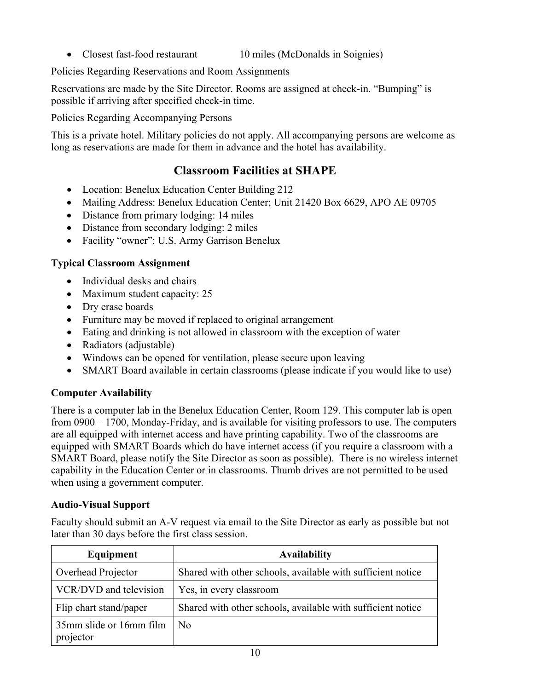• Closest fast-food restaurant 10 miles (McDonalds in Soignies)

Policies Regarding Reservations and Room Assignments

Reservations are made by the Site Director. Rooms are assigned at check-in. "Bumping" is possible if arriving after specified check-in time.

Policies Regarding Accompanying Persons

<span id="page-9-0"></span>This is a private hotel. Military policies do not apply. All accompanying persons are welcome as long as reservations are made for them in advance and the hotel has availability.

# **Classroom Facilities at SHAPE**

- Location: Benelux Education Center Building 212
- Mailing Address: Benelux Education Center; Unit 21420 Box 6629, APO AE 09705
- Distance from primary lodging: 14 miles
- Distance from secondary lodging: 2 miles
- Facility "owner": U.S. Army Garrison Benelux

### **Typical Classroom Assignment**

- Individual desks and chairs
- Maximum student capacity: 25
- Dry erase boards
- Furniture may be moved if replaced to original arrangement
- Eating and drinking is not allowed in classroom with the exception of water
- Radiators (adjustable)
- Windows can be opened for ventilation, please secure upon leaving
- SMART Board available in certain classrooms (please indicate if you would like to use)

### **Computer Availability**

There is a computer lab in the Benelux Education Center, Room 129. This computer lab is open from 0900 – 1700, Monday-Friday, and is available for visiting professors to use. The computers are all equipped with internet access and have printing capability. Two of the classrooms are equipped with SMART Boards which do have internet access (if you require a classroom with a SMART Board, please notify the Site Director as soon as possible). There is no wireless internet capability in the Education Center or in classrooms. Thumb drives are not permitted to be used when using a government computer.

### **Audio-Visual Support**

Faculty should submit an A-V request via email to the Site Director as early as possible but not later than 30 days before the first class session.

| Equipment                            | <b>Availability</b>                                         |
|--------------------------------------|-------------------------------------------------------------|
| Overhead Projector                   | Shared with other schools, available with sufficient notice |
| VCR/DVD and television               | Yes, in every classroom                                     |
| Flip chart stand/paper               | Shared with other schools, available with sufficient notice |
| 35mm slide or 16mm film<br>projector | No.                                                         |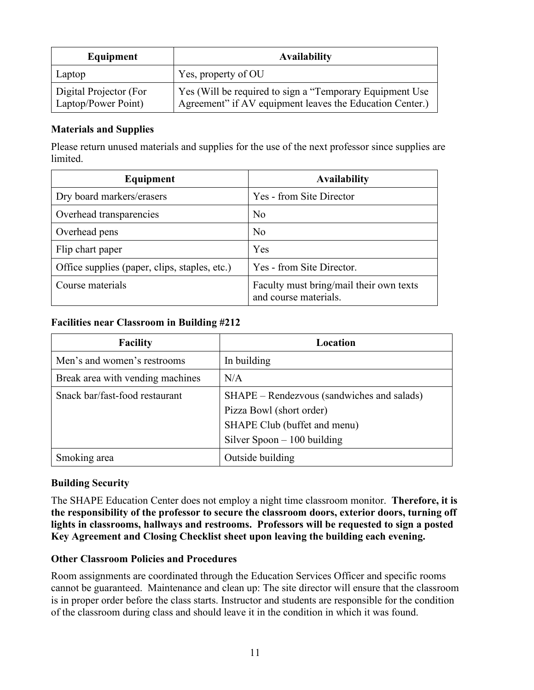| Equipment                                     | <b>Availability</b>                                                                                                  |
|-----------------------------------------------|----------------------------------------------------------------------------------------------------------------------|
| Laptop                                        | Yes, property of OU                                                                                                  |
| Digital Projector (For<br>Laptop/Power Point) | Yes (Will be required to sign a "Temporary Equipment Use<br>Agreement" if AV equipment leaves the Education Center.) |

#### **Materials and Supplies**

Please return unused materials and supplies for the use of the next professor since supplies are limited.

| Equipment                                     | <b>Availability</b>                                              |
|-----------------------------------------------|------------------------------------------------------------------|
| Dry board markers/erasers                     | Yes - from Site Director                                         |
| Overhead transparencies                       | No                                                               |
| Overhead pens                                 | N <sub>0</sub>                                                   |
| Flip chart paper                              | Yes                                                              |
| Office supplies (paper, clips, staples, etc.) | Yes - from Site Director.                                        |
| Course materials                              | Faculty must bring/mail their own texts<br>and course materials. |

#### **Facilities near Classroom in Building #212**

| <b>Facility</b>                  | Location                                                               |
|----------------------------------|------------------------------------------------------------------------|
| Men's and women's restrooms      | In building                                                            |
| Break area with vending machines | N/A                                                                    |
| Snack bar/fast-food restaurant   | SHAPE – Rendezvous (sandwiches and salads)<br>Pizza Bowl (short order) |
|                                  | SHAPE Club (buffet and menu)                                           |
|                                  | Silver Spoon $-100$ building                                           |
| Smoking area                     | Outside building                                                       |

#### **Building Security**

The SHAPE Education Center does not employ a night time classroom monitor. **Therefore, it is the responsibility of the professor to secure the classroom doors, exterior doors, turning off lights in classrooms, hallways and restrooms. Professors will be requested to sign a posted Key Agreement and Closing Checklist sheet upon leaving the building each evening.**

#### **Other Classroom Policies and Procedures**

Room assignments are coordinated through the Education Services Officer and specific rooms cannot be guaranteed. Maintenance and clean up: The site director will ensure that the classroom is in proper order before the class starts. Instructor and students are responsible for the condition of the classroom during class and should leave it in the condition in which it was found.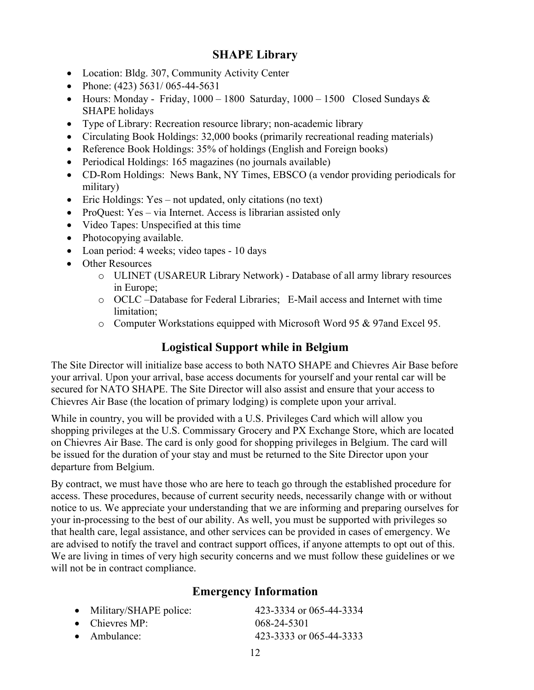# **SHAPE Library**

- <span id="page-11-0"></span>• Location: Bldg. 307, Community Activity Center
- Phone: (423) 5631/065-44-5631
- Hours: Monday Friday,  $1000 1800$  Saturday,  $1000 1500$  Closed Sundays & SHAPE holidays
- Type of Library: Recreation resource library; non-academic library
- Circulating Book Holdings: 32,000 books (primarily recreational reading materials)
- Reference Book Holdings: 35% of holdings (English and Foreign books)
- Periodical Holdings: 165 magazines (no journals available)
- CD-Rom Holdings: News Bank, NY Times, EBSCO (a vendor providing periodicals for military)
- Eric Holdings: Yes not updated, only citations (no text)
- ProQuest: Yes via Internet. Access is librarian assisted only
- Video Tapes: Unspecified at this time
- Photocopying available.
- Loan period: 4 weeks; video tapes 10 days
- Other Resources
	- o ULINET (USAREUR Library Network) Database of all army library resources in Europe;
	- o OCLC –Database for Federal Libraries; E-Mail access and Internet with time limitation;
	- o Computer Workstations equipped with Microsoft Word 95 & 97and Excel 95.

# **Logistical Support while in Belgium**

<span id="page-11-1"></span>The Site Director will initialize base access to both NATO SHAPE and Chievres Air Base before your arrival. Upon your arrival, base access documents for yourself and your rental car will be secured for NATO SHAPE. The Site Director will also assist and ensure that your access to Chievres Air Base (the location of primary lodging) is complete upon your arrival.

While in country, you will be provided with a U.S. Privileges Card which will allow you shopping privileges at the U.S. Commissary Grocery and PX Exchange Store, which are located on Chievres Air Base. The card is only good for shopping privileges in Belgium. The card will be issued for the duration of your stay and must be returned to the Site Director upon your departure from Belgium.

By contract, we must have those who are here to teach go through the established procedure for access. These procedures, because of current security needs, necessarily change with or without notice to us. We appreciate your understanding that we are informing and preparing ourselves for your in-processing to the best of our ability. As well, you must be supported with privileges so that health care, legal assistance, and other services can be provided in cases of emergency. We are advised to notify the travel and contract support offices, if anyone attempts to opt out of this. We are living in times of very high security concerns and we must follow these guidelines or we will not be in contract compliance.

### **Emergency Information**

<span id="page-11-2"></span>

| • Military/SHAPE police: | 423-3334 or 065-44-3334 |
|--------------------------|-------------------------|
| • Chievres MP:           | 068-24-5301             |
| $\bullet$ Ambulance:     | 423-3333 or 065-44-3333 |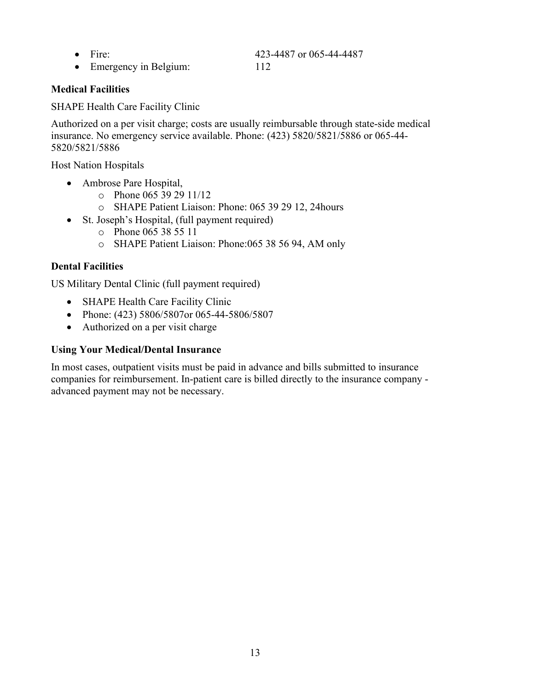- Fire: 423-4487 or 065-44-4487
- Emergency in Belgium: 112

**Medical Facilities**

SHAPE Health Care Facility Clinic

Authorized on a per visit charge; costs are usually reimbursable through state-side medical insurance. No emergency service available. Phone: (423) 5820/5821/5886 or 065-44- 5820/5821/5886

Host Nation Hospitals

- Ambrose Pare Hospital,
	- o Phone 065 39 29 11/12
	- o SHAPE Patient Liaison: Phone: 065 39 29 12, 24hours
- St. Joseph's Hospital, (full payment required)
	- o Phone 065 38 55 11
	- o SHAPE Patient Liaison: Phone:065 38 56 94, AM only

#### **Dental Facilities**

US Military Dental Clinic (full payment required)

- SHAPE Health Care Facility Clinic
- Phone: (423) 5806/5807or 065-44-5806/5807
- Authorized on a per visit charge

#### **Using Your Medical/Dental Insurance**

In most cases, outpatient visits must be paid in advance and bills submitted to insurance companies for reimbursement. In-patient care is billed directly to the insurance company advanced payment may not be necessary.